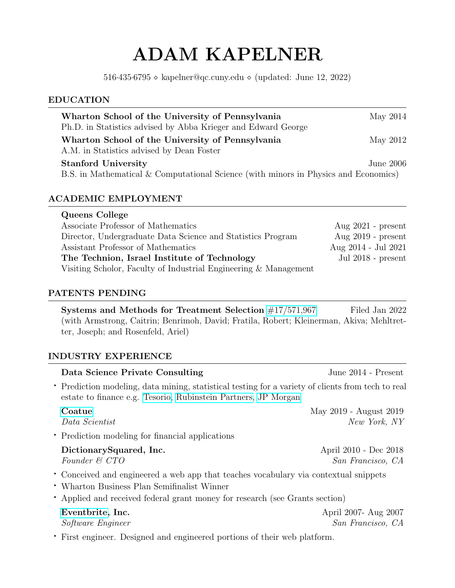# ADAM KAPELNER

516⋅435⋅6795 ◇ kapelner@qc.cuny.edu ◇ (updated: June 12, 2022)

## EDUCATION

| Wharton School of the University of Pennsylvania<br>Ph.D. in Statistics advised by Abba Krieger and Edward George | May 2014  |
|-------------------------------------------------------------------------------------------------------------------|-----------|
| Wharton School of the University of Pennsylvania<br>A.M. in Statistics advised by Dean Foster                     | May 2012  |
| <b>Stanford University</b>                                                                                        | June 2006 |
| B.S. in Mathematical & Computational Science (with minors in Physics and Economics)                               |           |

# ACADEMIC EMPLOYMENT

| Queens College                                                   |                      |
|------------------------------------------------------------------|----------------------|
| Associate Professor of Mathematics                               | Aug $2021$ - present |
| Director, Undergraduate Data Science and Statistics Program      | Aug $2019$ - present |
| Assistant Professor of Mathematics                               | Aug 2014 - Jul 2021  |
| The Technion, Israel Institute of Technology                     | Jul $2018$ - present |
| Visiting Scholor, Faculty of Industrial Engineering & Management |                      |

# PATENTS PENDING

Systems and Methods for Treatment Selection [#17/571,967](https://patentimages.storage.googleapis.com/1d/a1/10/2e68c1aa6ecfd1/US20220130519A1.pdf) Filed Jan 2022 (with Armstrong, Caitrin; Benrimoh, David; Fratila, Robert; Kleinerman, Akiva; Mehltretter, Joseph; and Rosenfeld, Ariel)

# INDUSTRY EXPERIENCE

| Data Science Private Consulting                                                                                                                                                                                     | June 2014 - Present                        |
|---------------------------------------------------------------------------------------------------------------------------------------------------------------------------------------------------------------------|--------------------------------------------|
| • Prediction modeling, data mining, statistical testing for a variety of clients from tech to real<br>estate to finance e.g. Tesorio, Rubinstein Partners, JP Morgan                                                |                                            |
| Coatue<br>Data Scientist                                                                                                                                                                                            | May 2019 - August 2019<br>New York, NY     |
| • Prediction modeling for financial applications                                                                                                                                                                    |                                            |
| DictionarySquared, Inc.<br>Founder & CTO                                                                                                                                                                            | April 2010 - Dec 2018<br>San Francisco, CA |
| • Conceived and engineered a web app that teaches vocabulary via contextual snippets<br>• Wharton Business Plan Semifinalist Winner<br>• Applied and received federal grant money for research (see Grants section) |                                            |
| Eventbrite, Inc.<br>Software Engineer                                                                                                                                                                               | April 2007- Aug 2007<br>San Francisco, CA  |
| • First engineer. Designed and engineered portions of their web platform.                                                                                                                                           |                                            |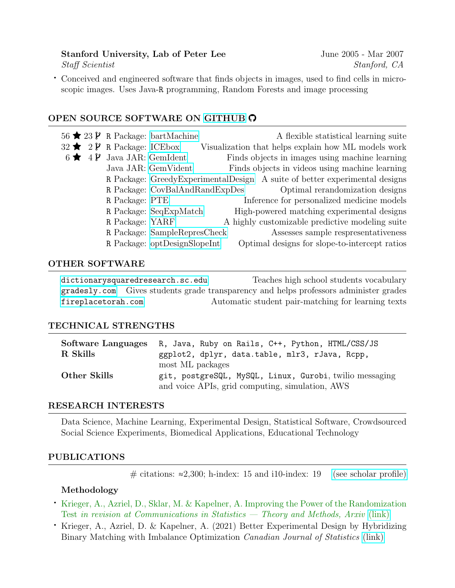### Stanford University, Lab of Peter Lee June 2005 - Mar 2007 Staff Scientist Stanford, CA

⋅ Conceived and engineered software that finds objects in images, used to find cells in microscopic images. Uses Java-R programming, Random Forests and image processing

# OPEN SOURCE SOFTWARE ON [GITHUB](HTTPS://GITHUB.COM/KAPELNER)

|  |                                                 | 56 $\bigstar$ 23 $\mathcal{V}$ R Package: bartMachine | A flexible statistical learning suite                                        |
|--|-------------------------------------------------|-------------------------------------------------------|------------------------------------------------------------------------------|
|  | 32 $\bigstar$ 2 $\mathcal{V}$ R Package: ICEbox |                                                       | Visualization that helps explain how ML models work                          |
|  | $6 \bigstar 4 \mathcal{V}$ Java JAR: GemIdent   |                                                       | Finds objects in images using machine learning                               |
|  |                                                 | Java JAR: GemVident                                   | Finds objects in videos using machine learning                               |
|  |                                                 |                                                       | R Package: Greedy Experimental Design A suite of better experimental designs |
|  |                                                 | R Package: CovBalAndRandExpDes                        | Optimal rerandomization designs                                              |
|  | R Package: PTE                                  |                                                       | Inference for personalized medicine models                                   |
|  |                                                 | R Package: SeqExpMatch                                | High-powered matching experimental designs                                   |
|  | R Package: YARF                                 |                                                       | A highly customizable predictive modeling suite                              |
|  |                                                 | R Package: SampleRepresCheck                          | Assesses sample respresentativeness                                          |
|  |                                                 | R Package: optDesignSlopeInt                          | Optimal designs for slope-to-intercept ratios                                |
|  |                                                 |                                                       |                                                                              |

#### OTHER SOFTWARE

<dictionarysquaredresearch.sc.edu> Teaches high school students vocabulary <gradesly.com> Gives students grade transparency and helps professors administer grades <fireplacetorah.com> Automatic student pair-matching for learning texts

#### TECHNICAL STRENGTHS

| Software Languages | R, Java, Ruby on Rails, C++, Python, HTML/CSS/JS        |
|--------------------|---------------------------------------------------------|
| R Skills           | ggplot2, dplyr, data.table, mlr3, rJava, Rcpp,          |
|                    | most ML packages                                        |
| Other Skills       | git, postgreSQL, MySQL, Linux, Gurobi, twilio messaging |
|                    | and voice APIs, grid computing, simulation, AWS         |

#### RESEARCH INTERESTS

Data Science, Machine Learning, Experimental Design, Statistical Software, Crowdsourced Social Science Experiments, Biomedical Applications, Educational Technology

#### PUBLICATIONS

# citations:  $≈2,300$ ; h-index: 15 and i10-index: 19 [\(see scholar profile\)](https://scholar.google.com/citations?user=TzgMmnoAAAAJ)

#### Methodology

- ⋅ Krieger, A., Azriel, D., Sklar, M. & Kapelner, A. Improving the Power of the Randomization Test in revision at Communications in Statistics — Theory and Methods, Arxiv [\(link\)](https://arxiv.org/abs/2008.05980)
- ⋅ Krieger, A., Azriel, D. & Kapelner, A. (2021) Better Experimental Design by Hybridizing Binary Matching with Imbalance Optimization Canadian Journal of Statistics [\(link\)](https://onlinelibrary.wiley.com/doi/abs/10.1002/cjs.11685)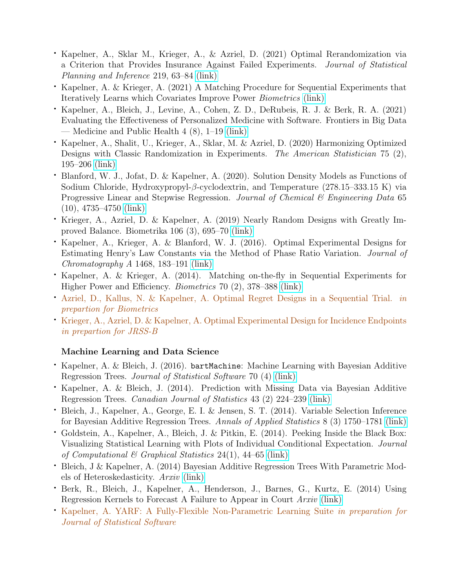- ⋅ Kapelner, A., Sklar M., Krieger, A., & Azriel, D. (2021) Optimal Rerandomization via a Criterion that Provides Insurance Against Failed Experiments. Journal of Statistical Planning and Inference 219, 63–84 [\(link\)](https://www.sciencedirect.com/science/article/abs/pii/S0378375821001130)
- ⋅ Kapelner, A. & Krieger, A. (2021) A Matching Procedure for Sequential Experiments that Iteratively Learns which Covariates Improve Power Biometrics [\(link\)](https://onlinelibrary.wiley.com/doi/abs/10.1111/biom.13561)
- ⋅ Kapelner, A., Bleich, J., Levine, A., Cohen, Z. D., DeRubeis, R. J. & Berk, R. A. (2021) Evaluating the Effectiveness of Personalized Medicine with Software. Frontiers in Big Data — Medicine and Public Health 4 (8), 1–19 [\(link\)](https://www.frontiersin.org/articles/10.3389/fdata.2021.572532/full)
- ⋅ Kapelner, A., Shalit, U., Krieger, A., Sklar, M. & Azriel, D. (2020) Harmonizing Optimized Designs with Classic Randomization in Experiments. The American Statistician 75 (2), 195–206 [\(link\)](https://www.tandfonline.com/doi/abs/10.1080/00031305.2020.1717619)
- ⋅ Blanford, W. J., Jofat, D. & Kapelner, A. (2020). Solution Density Models as Functions of Sodium Chloride, Hydroxypropyl-β-cyclodextrin, and Temperature (278.15–333.15 K) via Progressive Linear and Stepwise Regression. Journal of Chemical  $\mathcal B$  Engineering Data 65 (10), 4735–4750 [\(link\)](https://pubs.acs.org/doi/10.1021/acs.jced.0c00093)
- ⋅ Krieger, A., Azriel, D. & Kapelner, A. (2019) Nearly Random Designs with Greatly Improved Balance. Biometrika 106 (3), 695–70 [\(link\)](https://academic.oup.com/biomet/article-abstract/106/3/695/5499316)
- ⋅ Kapelner, A., Krieger, A. & Blanford, W. J. (2016). Optimal Experimental Designs for Estimating Henry's Law Constants via the Method of Phase Ratio Variation. Journal of Chromatography A 1468, 183–191 [\(link\)](https://www.sciencedirect.com/science/article/abs/pii/S0021967316311268?via%3Dihub)
- ⋅ Kapelner, A. & Krieger, A. (2014). Matching on-the-fly in Sequential Experiments for Higher Power and Efficiency. Biometrics 70 (2), 378–388 [\(link\)](https://onlinelibrary.wiley.com/doi/10.1111/biom.12148)
- ⋅ Azriel, D., Kallus, N. & Kapelner, A. Optimal Regret Designs in a Sequential Trial. in prepartion for Biometrics
- ⋅ Krieger, A., Azriel, D. & Kapelner, A. Optimal Experimental Design for Incidence Endpoints in prepartion for JRSS-B

# Machine Learning and Data Science

- ⋅ Kapelner, A. & Bleich, J. (2016). bartMachine: Machine Learning with Bayesian Additive Regression Trees. Journal of Statistical Software 70 (4) [\(link\)](https://www.jstatsoft.org/article/view/v070i04)
- Kapelner, A. & Bleich, J. (2014). Prediction with Missing Data via Bayesian Additive Regression Trees. Canadian Journal of Statistics 43 (2) 224–239 [\(link\)](https://www.jstatsoft.org/article/view/v070i04)
- ⋅ Bleich, J., Kapelner, A., George, E. I. & Jensen, S. T. (2014). Variable Selection Inference for Bayesian Additive Regression Trees. Annals of Applied Statistics 8 (3) 1750–1781 [\(link\)](https://projecteuclid.org/journals/annals-of-applied-statistics/volume-8/issue-3/Variable-selection-for-BART-An-application-to-gene-regulation/10.1214/14-AOAS755.full)
- ⋅ Goldstein, A., Kapelner, A., Bleich, J. & Pitkin, E. (2014). Peeking Inside the Black Box: Visualizing Statistical Learning with Plots of Individual Conditional Expectation. Journal of Computational & Graphical Statistics 24(1), 44–65 [\(link\)](https://www.tandfonline.com/doi/abs/10.1080/10618600.2014.907095)
- ⋅ Bleich, J & Kapelner, A. (2014) Bayesian Additive Regression Trees With Parametric Models of Heteroskedasticity. Arxiv [\(link\)](https://arxiv.org/abs/1402.5397)
- ⋅ Berk, R., Bleich, J., Kapelner, A., Henderson, J., Barnes, G., Kurtz, E. (2014) Using Regression Kernels to Forecast A Failure to Appear in Court Arxiv [\(link\)](https://arxiv.org/abs/1409.1798)
- ⋅ Kapelner, A. YARF: A Fully-Flexible Non-Parametric Learning Suite in preparation for Journal of Statistical Software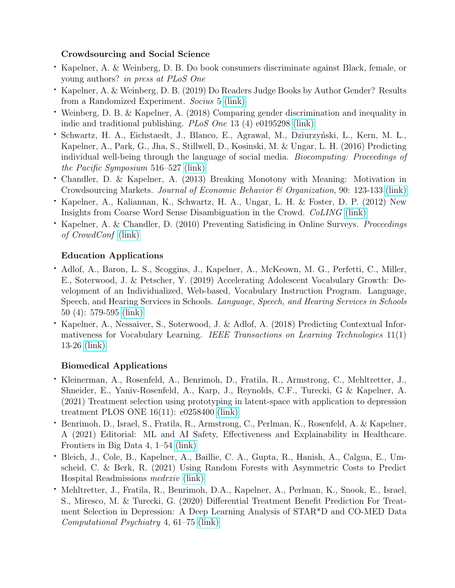# Crowdsourcing and Social Science

- ⋅ Kapelner, A. & Weinberg, D. B. Do book consumers discriminate against Black, female, or young authors? in press at PLoS One
- ⋅ Kapelner, A. & Weinberg, D. B. (2019) Do Readers Judge Books by Author Gender? Results from a Randomized Experiment. Socius 5 [\(link\)](https://journals.sagepub.com/doi/full/10.1177/2378023119868893)
- ⋅ Weinberg, D. B. & Kapelner, A. (2018) Comparing gender discrimination and inequality in indie and traditional publishing. PLoS One 13 (4) e0195298 [\(link\)](https://journals.plos.org/plosone/article?id=10.1371/journal.pone.0195298)
- Schwartz, H. A., Eichstaedt, J., Blanco, E., Agrawal, M., Dziurzyński, L., Kern, M. L., Kapelner, A., Park, G., Jha, S., Stillwell, D., Kosinski, M. & Ungar, L. H. (2016) Predicting individual well-being through the language of social media. Biocomputing: Proceedings of the Pacific Symposium 516–527 [\(link\)](https://www.worldscientific.com/doi/abs/10.1142/9789814749411_0047)
- ⋅ Chandler, D. & Kapelner, A. (2013) Breaking Monotony with Meaning: Motivation in Crowdsourcing Markets. Journal of Economic Behavior & Organization, 90: 123-133 [\(link\)](https://www.sciencedirect.com/science/article/abs/pii/S016726811300036X)
- ⋅ Kapelner, A., Kaliannan, K., Schwartz, H. A., Ungar, L. H. & Foster, D. P. (2012) New Insights from Coarse Word Sense Disambiguation in the Crowd. CoLING [\(link\)](https://aclanthology.org/C12-2053/)
- ⋅ Kapelner, A. & Chandler, D. (2010) Preventing Satisficing in Online Surveys. Proceedings of CrowdConf [\(link\)](https://www.researchgate.net/profile/Adam_Kapelner2/publication/228641673_Preventing_Satisficing_in_Online_Surveys/links/00b7d52a968bbba96c000000.pdf)

# Education Applications

- ⋅ Adlof, A., Baron, L. S., Scoggins, J., Kapelner, A., McKeown, M. G., Perfetti, C., Miller, E., Soterwood, J. & Petscher, Y. (2019) Accelerating Adolescent Vocabulary Growth: Development of an Individualized, Web-based, Vocabulary Instruction Program. Language, Speech, and Hearing Services in Schools. Language, Speech, and Hearing Services in Schools 50 (4): 579-595 [\(link\)](https://pubs.asha.org/doi/10.1044/2019_LSHSS-VOIA-18-0143)
- ⋅ Kapelner, A., Nessaiver, S., Soterwood, J. & Adlof, A. (2018) Predicting Contextual Informativeness for Vocabulary Learning. IEEE Transactions on Learning Technologies 11(1) 13-26 [\(link\)](https://ieeexplore.ieee.org/document/8247269/)

# Biomedical Applications

- ⋅ Kleinerman, A., Rosenfeld, A., Benrimoh, D., Fratila, R., Armstrong, C., Mehltretter, J., Shneider, E., Yaniv-Rosenfeld, A., Karp, J., Reynolds, C.F., Turecki, G & Kapelner, A. (2021) Treatment selection using prototyping in latent-space with application to depression treatment PLOS ONE 16(11): e0258400 [\(link\)](https://journals.plos.org/plosone/article?id=10.1371/journal.pone.0258400)
- ⋅ Benrimoh, D., Israel, S., Fratila, R., Armstrong, C., Perlman, K., Rosenfeld, A. & Kapelner, A (2021) Editorial: ML and AI Safety, Effectiveness and Explainability in Healthcare. Frontiers in Big Data 4, 1–54 [\(link\)](https://www.frontiersin.org/articles/10.3389/fdata.2021.727856/full)
- ⋅ Bleich, J., Cole, B., Kapelner, A., Baillie, C. A., Gupta, R., Hanish, A., Calgua, E., Umscheid, C. & Berk, R. (2021) Using Random Forests with Asymmetric Costs to Predict Hospital Readmissions medrxiv [\(link\)](https://www.medrxiv.org/content/10.1101/2021.03.15.21253416v1)
- ⋅ Mehltretter, J., Fratila, R., Benrimoh, D.A., Kapelner, A., Perlman, K., Snook, E., Israel, S., Miresco, M. & Turecki, G. (2020) Differential Treatment Benefit Prediction For Treatment Selection in Depression: A Deep Learning Analysis of STAR\*D and CO-MED Data Computational Psychiatry 4, 61–75 [\(link\)](https://cpsyjournal.org/articles/10.1162/cpsy_a_00029/)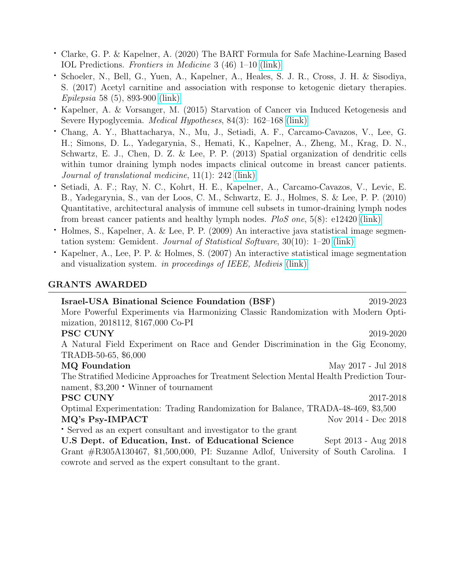- ⋅ Clarke, G. P. & Kapelner, A. (2020) The BART Formula for Safe Machine-Learning Based IOL Predictions. Frontiers in Medicine 3 (46) 1–10 [\(link\)](https://www.frontiersin.org/articles/10.3389/fdata.2020.572134/full)
- ⋅ Schoeler, N., Bell, G., Yuen, A., Kapelner, A., Heales, S. J. R., Cross, J. H. & Sisodiya, S. (2017) Acetyl carnitine and association with response to ketogenic dietary therapies. Epilepsia 58 (5), 893-900 [\(link\)](https://onlinelibrary.wiley.com/doi/10.1111/epi.13729)
- ⋅ Kapelner, A. & Vorsanger, M. (2015) Starvation of Cancer via Induced Ketogenesis and Severe Hypoglycemia. Medical Hypotheses, 84(3): 162–168 [\(link\)](https://www.sciencedirect.com/science/article/abs/pii/S0306987714003983?via%3Dihub)
- ⋅ Chang, A. Y., Bhattacharya, N., Mu, J., Setiadi, A. F., Carcamo-Cavazos, V., Lee, G. H.; Simons, D. L., Yadegarynia, S., Hemati, K., Kapelner, A., Zheng, M., Krag, D. N., Schwartz, E. J., Chen, D. Z. & Lee, P. P. (2013) Spatial organization of dendritic cells within tumor draining lymph nodes impacts clinical outcome in breast cancer patients. Journal of translational medicine, 11(1): 242 [\(link\)](https://translational-medicine.biomedcentral.com/articles/10.1186/1479-5876-11-242)
- ⋅ Setiadi, A. F.; Ray, N. C., Kohrt, H. E., Kapelner, A., Carcamo-Cavazos, V., Levic, E. B., Yadegarynia, S., van der Loos, C. M., Schwartz, E. J., Holmes, S. & Lee, P. P. (2010) Quantitative, architectural analysis of immune cell subsets in tumor-draining lymph nodes from breast cancer patients and healthy lymph nodes. PloS one, 5(8): e12420 [\(link\)](https://journals.plos.org/plosone/article?id=10.1371/journal.pone.0012420)
- ⋅ Holmes, S., Kapelner, A. & Lee, P. P. (2009) An interactive java statistical image segmentation system: Gemident. Journal of Statistical Software, 30(10): 1–20 [\(link\)](https://www.jstatsoft.org/article/view/v030i10)
- ⋅ Kapelner, A., Lee, P. P. & Holmes, S. (2007) An interactive statistical image segmentation and visualization system. in proceedings of IEEE, Medivis [\(link\)](https://ieeexplore.ieee.org/document/4272115)

### GRANTS AWARDED

| Israel-USA Binational Science Foundation (BSF)                                            | 2019-2023           |
|-------------------------------------------------------------------------------------------|---------------------|
| More Powerful Experiments via Harmonizing Classic Randomization with Modern Opti-         |                     |
| mization, 2018112, \$167,000 Co-PI                                                        |                     |
| <b>PSC CUNY</b>                                                                           | 2019-2020           |
| A Natural Field Experiment on Race and Gender Discrimination in the Gig Economy,          |                     |
| TRADB-50-65, \$6,000                                                                      |                     |
| <b>MQ</b> Foundation                                                                      | May 2017 - Jul 2018 |
| The Stratified Medicine Approaches for Treatment Selection Mental Health Prediction Tour- |                     |
| nament, $$3,200 \cdot$ Winner of tournament                                               |                     |
| <b>PSC CUNY</b>                                                                           | 2017-2018           |
| Optimal Experimentation: Trading Randomization for Balance, TRADA-48-469, \$3,500         |                     |
| MQ's Psy-IMPACT                                                                           | Nov 2014 - Dec 2018 |
| • Served as an expert consultant and investigator to the grant                            |                     |
| U.S Dept. of Education, Inst. of Educational Science<br>Sept 2013 - Aug 2018              |                     |
| Grant $\#R305A130467$ , \$1,500,000, PI: Suzanne Adlof, University of South Carolina. I   |                     |
| cowrote and served as the expert consultant to the grant.                                 |                     |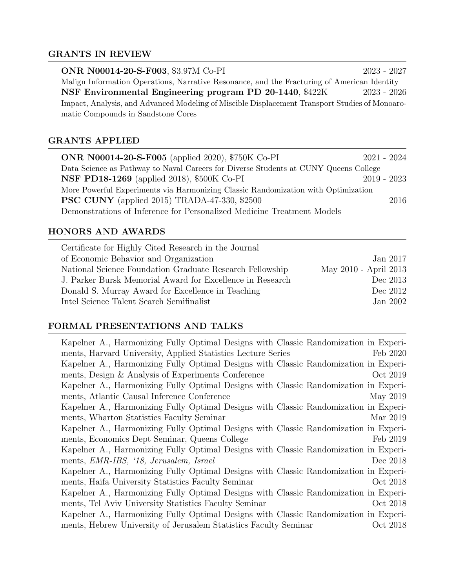# GRANTS IN REVIEW

| ONR N00014-20-S-F003, \$3.97M Co-PI                                                            | $2023 - 2027$ |  |
|------------------------------------------------------------------------------------------------|---------------|--|
| Malign Information Operations, Narrative Resonance, and the Fracturing of American Identity    |               |  |
| NSF Environmental Engineering program PD 20-1440, \$422K                                       | 2023 - 2026   |  |
| Impact, Analysis, and Advanced Modeling of Miscible Displacement Transport Studies of Monoaro- |               |  |
| matic Compounds in Sandstone Cores                                                             |               |  |

# GRANTS APPLIED

| <b>ONR N00014-20-S-F005</b> (applied 2020), \$750K Co-PI                             | $2021 - 2024$ |      |
|--------------------------------------------------------------------------------------|---------------|------|
| Data Science as Pathway to Naval Careers for Diverse Students at CUNY Queens College |               |      |
| <b>NSF PD18-1269</b> (applied 2018), \$500K Co-PI                                    | 2019 - 2023   |      |
| More Powerful Experiments via Harmonizing Classic Randomization with Optimization    |               |      |
| <b>PSC CUNY</b> (applied 2015) TRADA-47-330, \$2500                                  |               | 2016 |
| Demonstrations of Inference for Personalized Medicine Treatment Models               |               |      |

# HONORS AND AWARDS

| Certificate for Highly Cited Research in the Journal      |                       |
|-----------------------------------------------------------|-----------------------|
| of Economic Behavior and Organization                     | Jan 2017              |
| National Science Foundation Graduate Research Fellowship  | May 2010 - April 2013 |
| J. Parker Bursk Memorial Award for Excellence in Research | Dec 2013              |
| Donald S. Murray Award for Excellence in Teaching         | Dec 2012              |
| Intel Science Talent Search Semifinalist                  | Jan 2002              |
|                                                           |                       |

# FORMAL PRESENTATIONS AND TALKS

| Kapelner A., Harmonizing Fully Optimal Designs with Classic Randomization in Experi- |          |
|--------------------------------------------------------------------------------------|----------|
| ments, Harvard University, Applied Statistics Lecture Series                         | Feb 2020 |
| Kapelner A., Harmonizing Fully Optimal Designs with Classic Randomization in Experi- |          |
| ments, Design & Analysis of Experiments Conference                                   | Oct 2019 |
| Kapelner A., Harmonizing Fully Optimal Designs with Classic Randomization in Experi- |          |
| ments, Atlantic Causal Inference Conference                                          | May 2019 |
| Kapelner A., Harmonizing Fully Optimal Designs with Classic Randomization in Experi- |          |
| ments, Wharton Statistics Faculty Seminar                                            | Mar 2019 |
| Kapelner A., Harmonizing Fully Optimal Designs with Classic Randomization in Experi- |          |
| ments, Economics Dept Seminar, Queens College                                        | Feb 2019 |
| Kapelner A., Harmonizing Fully Optimal Designs with Classic Randomization in Experi- |          |
| ments, EMR-IBS, '18, Jerusalem, Israel                                               | Dec 2018 |
| Kapelner A., Harmonizing Fully Optimal Designs with Classic Randomization in Experi- |          |
| ments, Haifa University Statistics Faculty Seminar                                   | Oct 2018 |
| Kapelner A., Harmonizing Fully Optimal Designs with Classic Randomization in Experi- |          |
| ments, Tel Aviv University Statistics Faculty Seminar                                | Oct 2018 |
| Kapelner A., Harmonizing Fully Optimal Designs with Classic Randomization in Experi- |          |
| ments, Hebrew University of Jerusalem Statistics Faculty Seminar                     | Oct 2018 |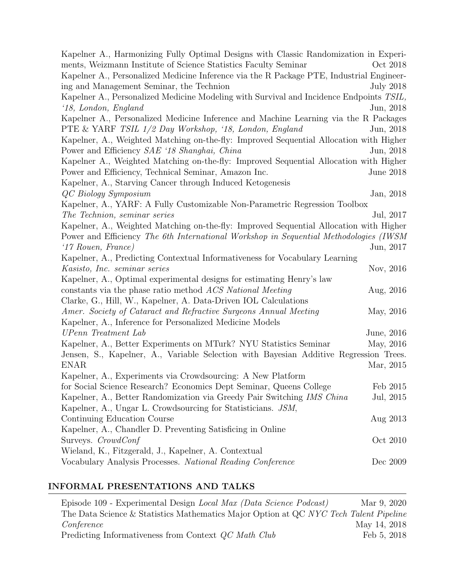| Kapelner A., Harmonizing Fully Optimal Designs with Classic Randomization in Experi-     |                  |
|------------------------------------------------------------------------------------------|------------------|
| ments, Weizmann Institute of Science Statistics Faculty Seminar                          | Oct 2018         |
| Kapelner A., Personalized Medicine Inference via the R Package PTE, Industrial Engineer- |                  |
| ing and Management Seminar, the Technion                                                 | <b>July 2018</b> |
| Kapelner A., Personalized Medicine Modeling with Survival and Incidence Endpoints TSIL,  |                  |
| '18, London, England                                                                     | Jun, 2018        |
| Kapelner A., Personalized Medicine Inference and Machine Learning via the R Packages     |                  |
| PTE & YARF TSIL 1/2 Day Workshop, '18, London, England                                   | Jun, 2018        |
| Kapelner, A., Weighted Matching on-the-fly: Improved Sequential Allocation with Higher   |                  |
| Power and Efficiency SAE '18 Shanghai, China                                             | Jun, 2018        |
| Kapelner A., Weighted Matching on-the-fly: Improved Sequential Allocation with Higher    |                  |
| Power and Efficiency, Technical Seminar, Amazon Inc.                                     | June 2018        |
| Kapelner, A., Starving Cancer through Induced Ketogenesis                                |                  |
| QC Biology Symposium                                                                     | Jan, 2018        |
| Kapelner, A., YARF: A Fully Customizable Non-Parametric Regression Toolbox               |                  |
| The Technion, seminar series                                                             | Jul, 2017        |
| Kapelner, A., Weighted Matching on-the-fly: Improved Sequential Allocation with Higher   |                  |
| Power and Efficiency The 6th International Workshop in Sequential Methodologies (IWSM)   |                  |
| $17$ Rouen, France)                                                                      | Jun, 2017        |
| Kapelner, A., Predicting Contextual Informativeness for Vocabulary Learning              |                  |
| Kasisto, Inc. seminar series                                                             | Nov, 2016        |
| Kapelner, A., Optimal experimental designs for estimating Henry's law                    |                  |
| constants via the phase ratio method ACS National Meeting                                | Aug, 2016        |
| Clarke, G., Hill, W., Kapelner, A. Data-Driven IOL Calculations                          |                  |
| Amer. Society of Cataract and Refractive Surgeons Annual Meeting                         | May, 2016        |
| Kapelner, A., Inference for Personalized Medicine Models                                 |                  |
| UPenn Treatment Lab                                                                      | June, 2016       |
| Kapelner, A., Better Experiments on MTurk? NYU Statistics Seminar                        | May, 2016        |
| Jensen, S., Kapelner, A., Variable Selection with Bayesian Additive Regression Trees.    |                  |
| <b>ENAR</b>                                                                              | Mar, 2015        |
| Kapelner, A., Experiments via Crowdsourcing: A New Platform                              |                  |
| for Social Science Research? Economics Dept Seminar, Queens College                      | Feb 2015         |
| Kapelner, A., Better Randomization via Greedy Pair Switching IMS China                   | Jul, 2015        |
| Kapelner, A., Ungar L. Crowdsourcing for Statisticians. JSM,                             |                  |
| Continuing Education Course                                                              | Aug 2013         |
| Kapelner, A., Chandler D. Preventing Satisficing in Online                               |                  |
| Surveys. CrowdConf                                                                       | Oct 2010         |
| Wieland, K., Fitzgerald, J., Kapelner, A. Contextual                                     |                  |
| Vocabulary Analysis Processes. National Reading Conference                               | Dec 2009         |
|                                                                                          |                  |

# INFORMAL PRESENTATIONS AND TALKS

| Episode 109 - Experimental Design Local Max (Data Science Podcast)                    | Mar 9, 2020  |
|---------------------------------------------------------------------------------------|--------------|
| The Data Science & Statistics Mathematics Major Option at QC NYC Tech Talent Pipeline |              |
| Conference                                                                            | May 14, 2018 |
| Predicting Informativeness from Context QC Math Club                                  | Feb 5, 2018  |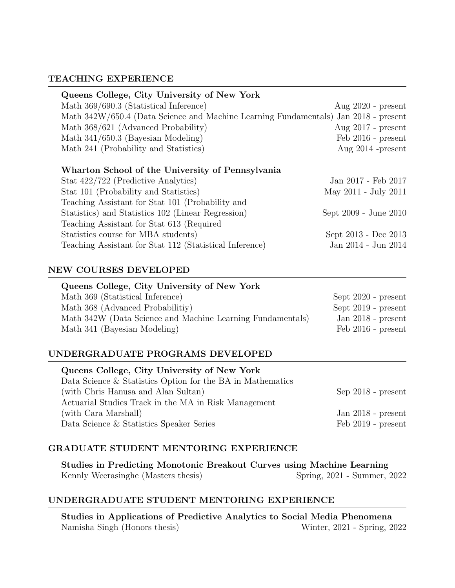## TEACHING EXPERIENCE

| Queens College, City University of New York                                         |                       |
|-------------------------------------------------------------------------------------|-----------------------|
| Math 369/690.3 (Statistical Inference)                                              | Aug $2020$ - present  |
| Math 342W/650.4 (Data Science and Machine Learning Fundamentals) Jan 2018 - present |                       |
| Math 368/621 (Advanced Probability)                                                 | Aug $2017$ - present  |
| Math $341/650.3$ (Bayesian Modeling)                                                | Feb 2016 - present    |
| Math 241 (Probability and Statistics)                                               | Aug $2014$ -present   |
|                                                                                     |                       |
| Wharton School of the University of Pennsylvania                                    |                       |
| Stat 422/722 (Predictive Analytics)                                                 | Jan 2017 - Feb 2017   |
| Stat 101 (Probability and Statistics)                                               | May 2011 - July 2011  |
| Teaching Assistant for Stat 101 (Probability and                                    |                       |
| Statistics) and Statistics 102 (Linear Regression)                                  | Sept 2009 - June 2010 |
| Teaching Assistant for Stat 613 (Required                                           |                       |

| Statistics course for MBA students)                     | Sept 2013 - Dec 2013 |
|---------------------------------------------------------|----------------------|
| Teaching Assistant for Stat 112 (Statistical Inference) | Jan 2014 - Jun 2014  |

# NEW COURSES DEVELOPED

| Queens College, City University of New York                |                       |
|------------------------------------------------------------|-----------------------|
| Math 369 (Statistical Inference)                           | Sept $2020$ - present |
| Math 368 (Advanced Probabilitiy)                           | Sept $2019$ - present |
| Math 342W (Data Science and Machine Learning Fundamentals) | Jan $2018$ - present  |
| Math 341 (Bayesian Modeling)                               | Feb 2016 - present    |

#### UNDERGRADUATE PROGRAMS DEVELOPED

| Queens College, City University of New York                |                              |
|------------------------------------------------------------|------------------------------|
| Data Science & Statistics Option for the BA in Mathematics |                              |
| (with Chris Hanusa and Alan Sultan)                        | $Sep 2018$ - $present$       |
| Actuarial Studies Track in the MA in Risk Management       |                              |
| (with Cara Marshall)                                       | Jan $2018$ - present         |
| Data Science & Statistics Speaker Series                   | $\text{Feb } 2019$ - present |

# GRADUATE STUDENT MENTORING EXPERIENCE

Studies in Predicting Monotonic Breakout Curves using Machine Learning Kennly Weerasinghe (Masters thesis) Spring, 2021 - Summer, 2022

#### UNDERGRADUATE STUDENT MENTORING EXPERIENCE

Studies in Applications of Predictive Analytics to Social Media Phenomena Namisha Singh (Honors thesis) Winter, 2021 - Spring, 2022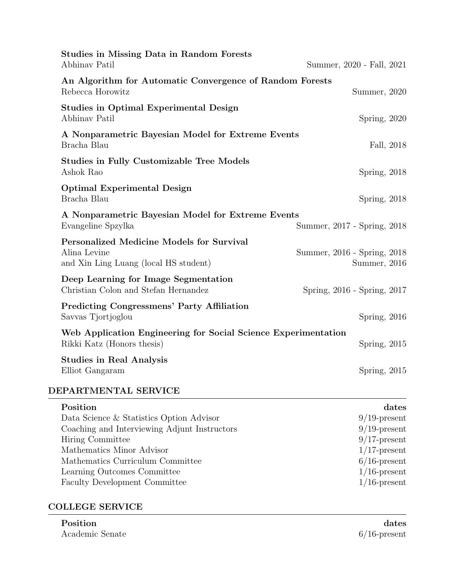| <b>Studies in Missing Data in Random Forests</b><br>Abhinav Patil                                         | Summer, 2020 - Fall, 2021                   |
|-----------------------------------------------------------------------------------------------------------|---------------------------------------------|
| An Algorithm for Automatic Convergence of Random Forests<br>Rebecca Horowitz                              | Summer, 2020                                |
| Studies in Optimal Experimental Design<br>Abhinav Patil                                                   | Spring, $2020$                              |
| A Nonparametric Bayesian Model for Extreme Events<br>Bracha Blau                                          | Fall, 2018                                  |
| <b>Studies in Fully Customizable Tree Models</b><br>Ashok Rao                                             | Spring, $2018$                              |
| <b>Optimal Experimental Design</b><br>Bracha Blau                                                         | Spring, 2018                                |
| A Nonparametric Bayesian Model for Extreme Events<br>Evangeline Spzylka                                   | Summer, 2017 - Spring, 2018                 |
| <b>Personalized Medicine Models for Survival</b><br>Alina Levine<br>and Xin Ling Luang (local HS student) | Summer, 2016 - Spring, 2018<br>Summer, 2016 |
| Deep Learning for Image Segmentation<br>Christian Colon and Stefan Hernandez                              | Spring, 2016 - Spring, 2017                 |
| <b>Predicting Congressmens' Party Affiliation</b><br>Savvas Tjortjoglou                                   | Spring, 2016                                |
| Web Application Engineering for Social Science Experimentation<br>Rikki Katz (Honors thesis)              | Spring, $2015$                              |
| <b>Studies in Real Analysis</b><br>Elliot Gangaram                                                        | Spring, $2015$                              |
| DEPARTMENTAL SERVICE                                                                                      |                                             |
| Position                                                                                                  | dates                                       |
| Data Science & Statistics Option Advisor                                                                  | $9/19$ -present                             |
| Coaching and Interviewing Adjunt Instructors                                                              | $9/19$ -present                             |
| Hiring Committee                                                                                          | $9/17$ -present                             |
| Mathematics Minor Advisor                                                                                 | $1/17$ -present                             |
| Mathematics Curriculum Committee                                                                          | $6/16$ -present                             |
| Learning Outcomes Committee                                                                               | $1/16$ -present                             |
| Faculty Development Committee                                                                             | $1/16$ -present                             |

# COLLEGE SERVICE

| Position        | dates           |
|-----------------|-----------------|
| Academic Senate | $6/16$ -present |

 $6/16$ -present